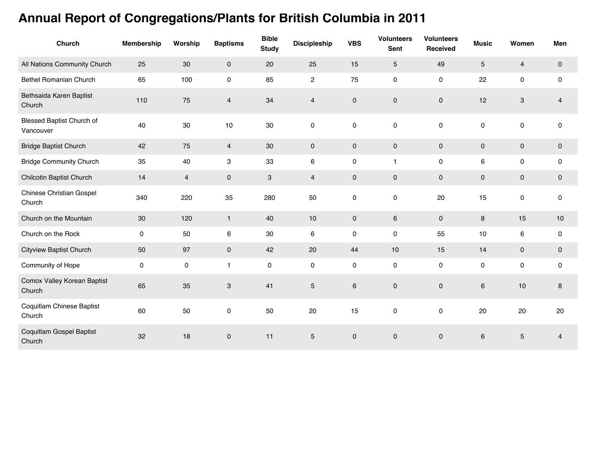| <b>Church</b>                                 | <b>Membership</b>   | Worship        | <b>Baptisms</b>           | <b>Bible</b><br><b>Study</b> | <b>Discipleship</b> | <b>VBS</b>          | <b>Volunteers</b><br><b>Sent</b> | <b>Volunteers</b><br>Received | <b>Music</b>   | Women                   | Men            |
|-----------------------------------------------|---------------------|----------------|---------------------------|------------------------------|---------------------|---------------------|----------------------------------|-------------------------------|----------------|-------------------------|----------------|
| All Nations Community Church                  | 25                  | 30             | $\mathbf 0$               | 20                           | 25                  | 15                  | $5\phantom{.0}$                  | 49                            | $\overline{5}$ | $\overline{\mathbf{4}}$ | $\pmb{0}$      |
| Bethel Romanian Church                        | 65                  | 100            | 0                         | 85                           | $\overline{2}$      | 75                  | $\mathsf{O}\xspace$              | $\mathsf{O}\xspace$           | 22             | $\pmb{0}$               | $\mathsf{O}$   |
| Bethsaida Karen Baptist<br>Church             | 110                 | 75             | $\overline{4}$            | 34                           | $\overline{4}$      | $\mathbf{0}$        | $\mathbf 0$                      | $\mathbf 0$                   | 12             | $\mathbf{3}$            | $\overline{4}$ |
| <b>Blessed Baptist Church of</b><br>Vancouver | 40                  | 30             | $10$                      | 30                           | 0                   | 0                   | $\pmb{0}$                        | $\mathsf{O}\xspace$           | 0              | 0                       | 0              |
| <b>Bridge Baptist Church</b>                  | 42                  | 75             | $\overline{4}$            | 30                           | $\mathbf 0$         | $\mathsf{O}$        | $\mathbf 0$                      | $\mathbf 0$                   | $\mathbf 0$    | $\mathbf 0$             | $\mathbf 0$    |
| <b>Bridge Community Church</b>                | 35                  | 40             | 3                         | 33                           | 6                   | 0                   | $\mathbf{1}$                     | 0                             | 6              | 0                       | 0              |
| Chilcotin Baptist Church                      | 14                  | $\overline{4}$ | 0                         | $\ensuremath{\mathsf{3}}$    | $\overline{4}$      | $\mathbf 0$         | $\mathsf{O}\xspace$              | $\mathbf 0$                   | 0              | $\mathsf{O}\xspace$     | $\mathbf 0$    |
| <b>Chinese Christian Gospel</b><br>Church     | 340                 | 220            | 35                        | 280                          | 50                  | 0                   | $\pmb{0}$                        | 20                            | 15             | $\pmb{0}$               | $\pmb{0}$      |
| Church on the Mountain                        | 30                  | 120            | $\mathbf{1}$              | 40                           | 10                  | $\mathsf{O}\xspace$ | 6                                | $\mathbf 0$                   | 8              | 15                      | 10             |
| Church on the Rock                            | $\mathsf{O}\xspace$ | 50             | 6                         | 30                           | 6                   | 0                   | 0                                | 55                            | $10$           | $\,6\,$                 | $\pmb{0}$      |
| <b>Cityview Baptist Church</b>                | 50                  | 97             | $\mathbf{0}$              | 42                           | 20                  | 44                  | 10                               | 15                            | 14             | $\mathbf 0$             | $\mathbf 0$    |
| Community of Hope                             | $\mathsf{O}\xspace$ | $\pmb{0}$      | $\mathbf{1}$              | $\mathbf 0$                  | 0                   | $\mathsf{O}\xspace$ | 0                                | $\mathsf{O}\xspace$           | 0              | 0                       | $\pmb{0}$      |
| Comox Valley Korean Baptist<br>Church         | 65                  | 35             | $\ensuremath{\mathsf{3}}$ | 41                           | $\mathbf 5$         | 6                   | $\mathsf{O}\xspace$              | $\mathsf{O}\xspace$           | 6              | 10                      | $\bf 8$        |
| Coquitlam Chinese Baptist<br>Church           | 60                  | 50             | $\mathsf 0$               | 50                           | 20                  | 15                  | $\pmb{0}$                        | $\mathsf{O}\xspace$           | 20             | 20                      | 20             |
| Coquitlam Gospel Baptist<br>Church            | 32                  | 18             | 0                         | 11                           | $\mathbf 5$         | $\mathbf 0$         | $\mathbf 0$                      | $\pmb{0}$                     | 6              | $\mathbf 5$             | $\overline{4}$ |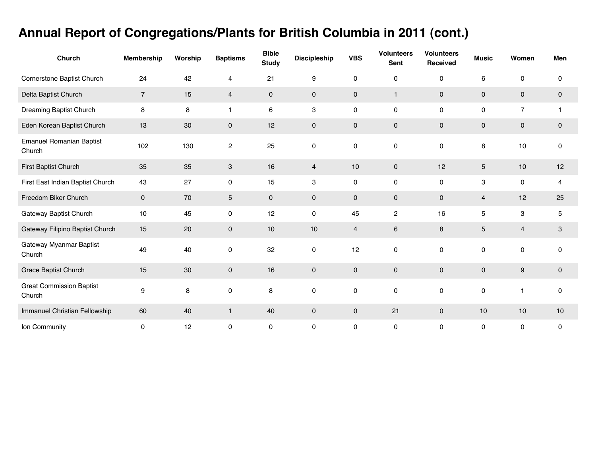| Church                                    | <b>Membership</b> | Worship | <b>Baptisms</b>           | <b>Bible</b><br><b>Study</b> | <b>Discipleship</b> | <b>VBS</b>          | <b>Volunteers</b><br><b>Sent</b> | <b>Volunteers</b><br><b>Received</b> | <b>Music</b>    | Women            | Men            |
|-------------------------------------------|-------------------|---------|---------------------------|------------------------------|---------------------|---------------------|----------------------------------|--------------------------------------|-----------------|------------------|----------------|
| Cornerstone Baptist Church                | 24                | 42      | $\overline{4}$            | 21                           | 9                   | 0                   | $\pmb{0}$                        | 0                                    | 6               | 0                | 0              |
| Delta Baptist Church                      | $\overline{7}$    | 15      | $\overline{4}$            | $\mathbf 0$                  | $\mathbf 0$         | $\mathbf 0$         | $\mathbf{1}$                     | $\mathbf 0$                          | $\mathbf 0$     | $\mathbf 0$      | $\mathbf 0$    |
| Dreaming Baptist Church                   | 8                 | 8       | $\mathbf{1}$              | 6                            | 3                   | 0                   | $\pmb{0}$                        | $\mathsf{O}\xspace$                  | 0               | $\overline{7}$   | $\mathbf{1}$   |
| Eden Korean Baptist Church                | 13                | 30      | $\mathsf{O}\xspace$       | 12                           | $\mathsf{O}\xspace$ | $\pmb{0}$           | $\mathsf{O}\xspace$              | $\pmb{0}$                            | $\pmb{0}$       | $\mathbf 0$      | $\pmb{0}$      |
| <b>Emanuel Romanian Baptist</b><br>Church | 102               | 130     | $\overline{a}$            | 25                           | $\pmb{0}$           | 0                   | $\pmb{0}$                        | 0                                    | 8               | 10               | 0              |
| First Baptist Church                      | 35                | 35      | $\ensuremath{\mathsf{3}}$ | 16                           | $\overline{4}$      | 10                  | $\pmb{0}$                        | 12                                   | $\overline{5}$  | $10$             | 12             |
| First East Indian Baptist Church          | 43                | 27      | $\mathsf 0$               | 15                           | 3                   | $\mathsf{O}\xspace$ | $\pmb{0}$                        | $\mathsf{O}\xspace$                  | 3               | $\pmb{0}$        | $\overline{4}$ |
| Freedom Biker Church                      | $\mathbf 0$       | 70      | $\overline{5}$            | $\mathbf{0}$                 | $\pmb{0}$           | $\mathbf 0$         | $\pmb{0}$                        | $\mathbf 0$                          | $\overline{4}$  | 12               | 25             |
| Gateway Baptist Church                    | $10$              | 45      | 0                         | 12                           | $\pmb{0}$           | 45                  | $\boldsymbol{2}$                 | 16                                   | 5               | 3                | 5              |
| Gateway Filipino Baptist Church           | 15                | 20      | $\mathbf 0$               | 10                           | 10                  | 4                   | 6                                | 8                                    | $5\overline{)}$ | $\overline{4}$   | 3              |
| Gateway Myanmar Baptist<br>Church         | 49                | 40      | $\pmb{0}$                 | 32                           | $\pmb{0}$           | 12                  | $\pmb{0}$                        | $\mathbf 0$                          | 0               | $\pmb{0}$        | $\mathbf 0$    |
| Grace Baptist Church                      | 15                | 30      | $\pmb{0}$                 | 16                           | $\mathbf 0$         | $\mathbf 0$         | $\pmb{0}$                        | $\mathbf 0$                          | $\mathbf 0$     | $\boldsymbol{9}$ | $\mathbf 0$    |
| <b>Great Commission Baptist</b><br>Church | $\boldsymbol{9}$  | 8       | $\pmb{0}$                 | 8                            | $\pmb{0}$           | $\mathsf{O}\xspace$ | $\pmb{0}$                        | $\pmb{0}$                            | 0               | $\mathbf{1}$     | 0              |
| Immanuel Christian Fellowship             | 60                | 40      | $\mathbf{1}$              | 40                           | $\pmb{0}$           | $\mathbf 0$         | 21                               | $\mathbf 0$                          | 10              | 10               | 10             |
| Ion Community                             | $\pmb{0}$         | 12      | 0                         | 0                            | 0                   | 0                   | 0                                | $\mathbf 0$                          | 0               | $\pmb{0}$        | $\mathbf 0$    |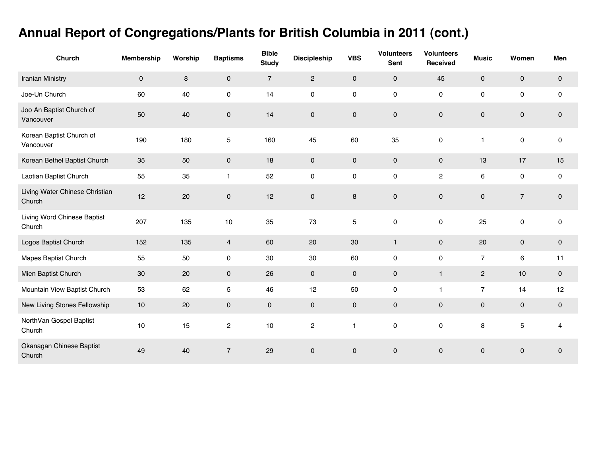| <b>Church</b>                            | Membership | Worship | <b>Baptisms</b>     | <b>Bible</b><br><b>Study</b> | <b>Discipleship</b> | <b>VBS</b>          | <b>Volunteers</b><br><b>Sent</b> | <b>Volunteers</b><br>Received | <b>Music</b>        | Women               | Men                 |
|------------------------------------------|------------|---------|---------------------|------------------------------|---------------------|---------------------|----------------------------------|-------------------------------|---------------------|---------------------|---------------------|
| Iranian Ministry                         | $\pmb{0}$  | $\bf8$  | $\mathsf{O}\xspace$ | $\overline{7}$               | $\overline{c}$      | $\mathsf{O}\xspace$ | $\mathbf 0$                      | 45                            | $\mathsf{O}\xspace$ | $\pmb{0}$           | $\mathbf 0$         |
| Joe-Un Church                            | 60         | 40      | $\pmb{0}$           | 14                           | $\pmb{0}$           | 0                   | $\mathbf 0$                      | $\pmb{0}$                     | $\mathsf{O}\xspace$ | $\pmb{0}$           | $\pmb{0}$           |
| Joo An Baptist Church of<br>Vancouver    | 50         | 40      | $\pmb{0}$           | 14                           | $\pmb{0}$           | $\mathsf{O}\xspace$ | $\pmb{0}$                        | $\mathsf{O}\xspace$           | $\mathsf{O}\xspace$ | $\pmb{0}$           | $\mathbf 0$         |
| Korean Baptist Church of<br>Vancouver    | 190        | 180     | $\mathbf 5$         | 160                          | 45                  | 60                  | 35                               | $\pmb{0}$                     | $\mathbf{1}$        | 0                   | 0                   |
| Korean Bethel Baptist Church             | 35         | 50      | $\mathsf{O}\xspace$ | 18                           | $\mathbf 0$         | $\overline{0}$      | $\mathbf 0$                      | $\mathbf 0$                   | 13                  | 17                  | 15                  |
| Laotian Baptist Church                   | 55         | 35      | $\mathbf{1}$        | 52                           | $\pmb{0}$           | 0                   | $\mathbf 0$                      | $\sqrt{2}$                    | $\,6\,$             | $\mathbf 0$         | $\pmb{0}$           |
| Living Water Chinese Christian<br>Church | 12         | 20      | $\pmb{0}$           | 12                           | $\mathbf 0$         | 8                   | $\mathsf{O}$                     | $\mathbf 0$                   | $\mathsf{O}\xspace$ | $\overline{7}$      | $\pmb{0}$           |
| Living Word Chinese Baptist<br>Church    | 207        | 135     | $10$                | 35                           | 73                  | 5                   | $\mathsf{O}\xspace$              | $\pmb{0}$                     | 25                  | $\pmb{0}$           | 0                   |
| Logos Baptist Church                     | 152        | 135     | $\overline{4}$      | 60                           | 20                  | 30                  | $\mathbf{1}$                     | $\pmb{0}$                     | 20                  | $\pmb{0}$           | $\pmb{0}$           |
| Mapes Baptist Church                     | 55         | 50      | $\pmb{0}$           | 30                           | 30                  | 60                  | $\pmb{0}$                        | $\pmb{0}$                     | $\overline{7}$      | $\,6\,$             | 11                  |
| Mien Baptist Church                      | 30         | 20      | $\mathsf{O}\xspace$ | 26                           | $\mathbf 0$         | $\mathsf{O}$        | $\mathbf 0$                      | $\mathbf{1}$                  | $\overline{c}$      | 10                  | 0                   |
| Mountain View Baptist Church             | 53         | 62      | 5                   | 46                           | 12                  | 50                  | $\mathsf{O}\xspace$              | $\mathbf{1}$                  | $\overline{7}$      | 14                  | 12                  |
| New Living Stones Fellowship             | $10$       | 20      | $\mathsf{O}\xspace$ | $\mathsf{O}\xspace$          | $\pmb{0}$           | $\mathbf 0$         | $\mathsf{O}$                     | $\pmb{0}$                     | $\mathsf{O}\xspace$ | $\mathsf{O}\xspace$ | $\mathsf{O}\xspace$ |
| NorthVan Gospel Baptist<br>Church        | 10         | 15      | $\mathbf{2}$        | 10                           | $\overline{c}$      | $\mathbf{1}$        | $\mathsf{O}\xspace$              | $\pmb{0}$                     | 8                   | 5                   | 4                   |
| Okanagan Chinese Baptist<br>Church       | 49         | 40      | $\overline{7}$      | 29                           | $\pmb{0}$           | 0                   | $\mathsf{O}$                     | $\pmb{0}$                     | $\mathbf 0$         | 0                   | $\mathbf 0$         |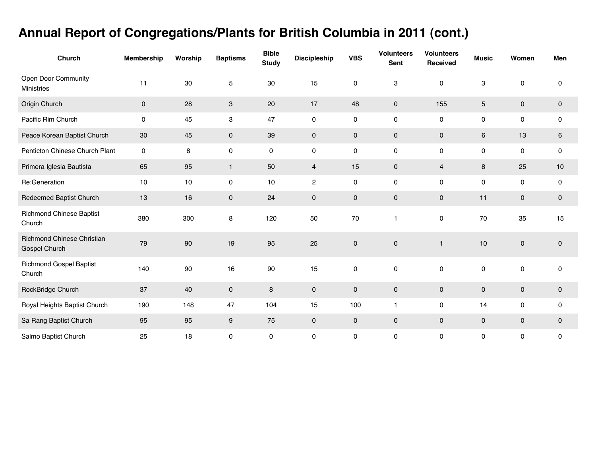| <b>Church</b>                               | <b>Membership</b>   | Worship | <b>Baptisms</b>     | <b>Bible</b><br><b>Study</b> | <b>Discipleship</b> | <b>VBS</b>          | <b>Volunteers</b><br>Sent | <b>Volunteers</b><br>Received | <b>Music</b> | Women       | Men         |
|---------------------------------------------|---------------------|---------|---------------------|------------------------------|---------------------|---------------------|---------------------------|-------------------------------|--------------|-------------|-------------|
| Open Door Community<br><b>Ministries</b>    | 11                  | 30      | $\mathbf 5$         | 30                           | 15                  | 0                   | 3                         | 0                             | 3            | 0           | 0           |
| Origin Church                               | $\mathsf{O}\xspace$ | 28      | 3                   | 20                           | 17                  | 48                  | $\pmb{0}$                 | 155                           | 5            | $\pmb{0}$   | $\pmb{0}$   |
| Pacific Rim Church                          | $\mathsf{O}\xspace$ | 45      | 3                   | 47                           | $\pmb{0}$           | 0                   | $\pmb{0}$                 | $\mathsf{O}\xspace$           | 0            | $\pmb{0}$   | $\pmb{0}$   |
| Peace Korean Baptist Church                 | 30                  | 45      | $\mathsf{O}\xspace$ | 39                           | $\pmb{0}$           | $\mathbf 0$         | $\pmb{0}$                 | $\mathsf{O}\xspace$           | $\,6\,$      | 13          | 6           |
| Penticton Chinese Church Plant              | $\mathsf 0$         | 8       | 0                   | 0                            | $\pmb{0}$           | 0                   | $\pmb{0}$                 | $\mathsf{O}\xspace$           | 0            | $\mathsf 0$ | $\pmb{0}$   |
| Primera Iglesia Bautista                    | 65                  | 95      | $\mathbf{1}$        | 50                           | $\overline{4}$      | 15                  | $\pmb{0}$                 | $\overline{4}$                | $\bf 8$      | 25          | $10$        |
| Re:Generation                               | 10                  | $10$    | $\pmb{0}$           | $10$                         | $\sqrt{2}$          | 0                   | $\pmb{0}$                 | $\mathsf{O}\xspace$           | 0            | $\mathsf 0$ | $\pmb{0}$   |
| Redeemed Baptist Church                     | 13                  | 16      | $\mathbf 0$         | 24                           | $\mathsf{O}\xspace$ | $\mathsf{O}\xspace$ | $\pmb{0}$                 | $\pmb{0}$                     | 11           | $\pmb{0}$   | $\mathbf 0$ |
| <b>Richmond Chinese Baptist</b><br>Church   | 380                 | 300     | 8                   | 120                          | 50                  | 70                  | $\mathbf{1}$              | $\mathbf 0$                   | 70           | 35          | 15          |
| Richmond Chinese Christian<br>Gospel Church | 79                  | 90      | 19                  | 95                           | 25                  | $\pmb{0}$           | $\pmb{0}$                 | $\mathbf{1}$                  | $10$         | $\pmb{0}$   | $\mathbf 0$ |
| <b>Richmond Gospel Baptist</b><br>Church    | 140                 | 90      | 16                  | 90                           | 15                  | 0                   | $\mathbf 0$               | 0                             | 0            | 0           | $\mathbf 0$ |
| RockBridge Church                           | 37                  | 40      | $\mathbf 0$         | 8                            | $\mathbf 0$         | $\mathbf 0$         | $\mathbf 0$               | $\mathbf 0$                   | $\mathbf 0$  | $\mathbf 0$ | $\pmb{0}$   |
| Royal Heights Baptist Church                | 190                 | 148     | 47                  | 104                          | 15                  | 100                 | $\mathbf{1}$              | 0                             | 14           | 0           | 0           |
| Sa Rang Baptist Church                      | 95                  | 95      | 9                   | 75                           | $\mathbf 0$         | $\mathbf 0$         | $\mathbf 0$               | $\mathbf 0$                   | $\mathbf 0$  | $\mathbf 0$ | $\pmb{0}$   |
| Salmo Baptist Church                        | 25                  | 18      | 0                   | 0                            | 0                   | 0                   | 0                         | 0                             | 0            | 0           | 0           |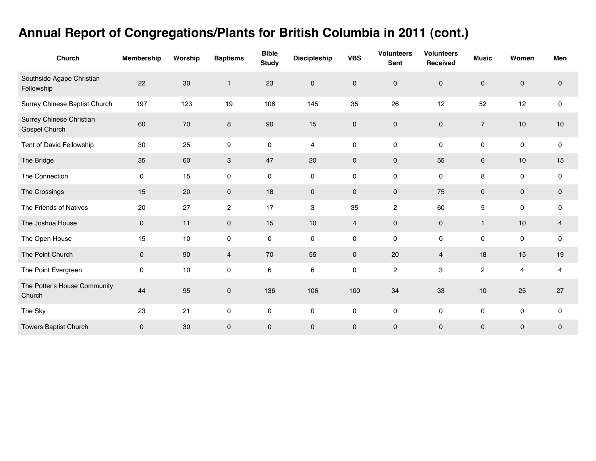| Church                                    | <b>Membership</b> | Worship | <b>Baptisms</b> | <b>Bible</b><br><b>Study</b> | <b>Discipleship</b>     | <b>VBS</b>     | <b>Volunteers</b><br><b>Sent</b> | <b>Volunteers</b><br>Received | <b>Music</b>        | Women       | Men                 |
|-------------------------------------------|-------------------|---------|-----------------|------------------------------|-------------------------|----------------|----------------------------------|-------------------------------|---------------------|-------------|---------------------|
| Southside Agape Christian<br>Fellowship   | 22                | 30      | $\mathbf{1}$    | 23                           | $\pmb{0}$               | 0              | $\pmb{0}$                        | $\mathbf 0$                   | $\pmb{0}$           | $\mathsf 0$ | $\mathbf 0$         |
| Surrey Chinese Baptist Church             | 197               | 123     | 19              | 106                          | 145                     | 35             | 26                               | 12                            | 52                  | 12          | $\mathsf{O}\xspace$ |
| Surrey Chinese Christian<br>Gospel Church | 60                | 70      | 8               | 90                           | 15                      | 0              | $\mathbf 0$                      | $\mathbf 0$                   | $\sqrt{7}$          | 10          | 10                  |
| Tent of David Fellowship                  | 30                | 25      | 9               | $\pmb{0}$                    | $\overline{\mathbf{4}}$ | 0              | $\mathsf{O}\xspace$              | $\pmb{0}$                     | $\mathsf{O}\xspace$ | $\pmb{0}$   | 0                   |
| The Bridge                                | 35                | 60      | 3               | 47                           | 20                      | 0              | $\mathbf 0$                      | 55                            | 6                   | 10          | 15                  |
| The Connection                            | 0                 | 15      | 0               | 0                            | $\mathbf 0$             | 0              | 0                                | 0                             | 8                   | 0           | 0                   |
| The Crossings                             | 15                | 20      | $\mathbf 0$     | 18                           | $\mathbf 0$             | 0              | $\mathbf 0$                      | 75                            | $\mathbf 0$         | $\pmb{0}$   | $\mathbf 0$         |
| The Friends of Natives                    | 20                | 27      | $\mathbf{2}$    | 17                           | 3                       | 35             | $\overline{c}$                   | 60                            | 5                   | 0           | $\mathbf 0$         |
| The Joshua House                          | $\pmb{0}$         | 11      | $\pmb{0}$       | 15                           | 10                      | $\overline{4}$ | $\mathsf{O}$                     | $\mathsf{O}\xspace$           | $\mathbf{1}$        | 10          | 4                   |
| The Open House                            | 15                | 10      | 0               | 0                            | $\mathsf{O}\xspace$     | 0              | $\mathsf{O}\xspace$              | $\mathsf{O}\xspace$           | 0                   | $\pmb{0}$   | $\mathsf{O}\xspace$ |
| The Point Church                          | $\mathbf 0$       | 90      | $\overline{4}$  | 70                           | 55                      | 0              | 20                               | $\overline{4}$                | 18                  | 15          | 19                  |
| The Point Evergreen                       | $\pmb{0}$         | 10      | $\pmb{0}$       | $\,6\,$                      | 6                       | 0              | $\boldsymbol{2}$                 | $\ensuremath{\mathsf{3}}$     | $\overline{c}$      | 4           | 4                   |
| The Potter's House Community<br>Church    | 44                | 95      | $\mathbf 0$     | 136                          | 106                     | 100            | 34                               | 33                            | $10$                | 25          | 27                  |
| The Sky                                   | 23                | 21      | $\pmb{0}$       | $\pmb{0}$                    | $\pmb{0}$               | 0              | $\mathsf{O}\xspace$              | 0                             | $\mathsf{O}\xspace$ | $\pmb{0}$   | 0                   |
| <b>Towers Baptist Church</b>              | $\mathbf 0$       | 30      | $\mathbf 0$     | $\mathbf 0$                  | $\mathbf 0$             | 0              | 0                                | $\mathbf 0$                   | 0                   | $\mathbf 0$ | $\mathbf 0$         |